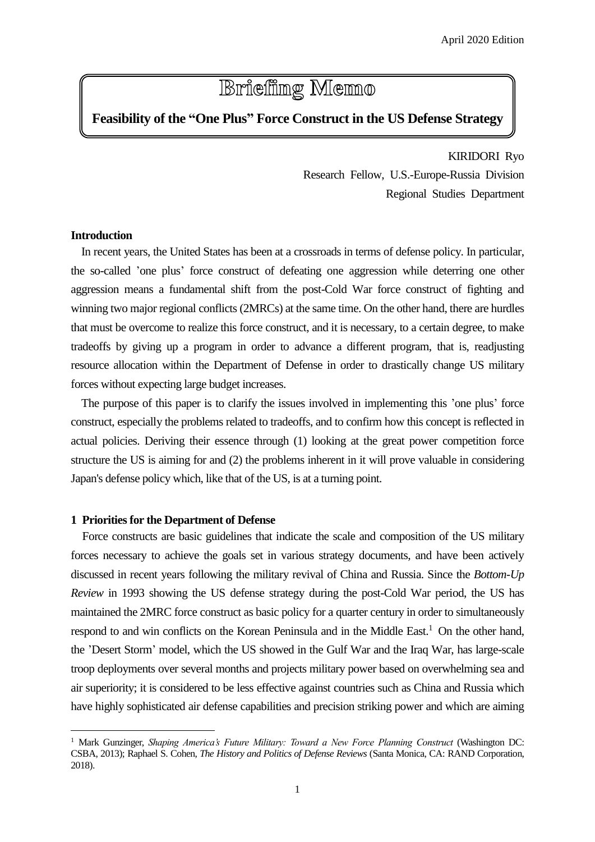# **Briefing Memo**

## **Feasibility of the "One Plus" Force Construct in the US Defense Strategy**

KIRIDORI Ryo Research Fellow, U.S.-Europe-Russia Division Regional Studies Department

### **Introduction**

 $\overline{a}$ 

In recent years, the United States has been at a crossroads in terms of defense policy. In particular, the so-called 'one plus' force construct of defeating one aggression while deterring one other aggression means a fundamental shift from the post-Cold War force construct of fighting and winning two major regional conflicts (2MRCs) at the same time. On the other hand, there are hurdles that must be overcome to realize this force construct, and it is necessary, to a certain degree, to make tradeoffs by giving up a program in order to advance a different program, that is, readjusting resource allocation within the Department of Defense in order to drastically change US military forces without expecting large budget increases.

The purpose of this paper is to clarify the issues involved in implementing this 'one plus' force construct, especially the problems related to tradeoffs, and to confirm how this concept is reflected in actual policies. Deriving their essence through (1) looking at the great power competition force structure the US is aiming for and (2) the problems inherent in it will prove valuable in considering Japan's defense policy which, like that of the US, is at a turning point.

#### **1 Priorities for the Department of Defense**

Force constructs are basic guidelines that indicate the scale and composition of the US military forces necessary to achieve the goals set in various strategy documents, and have been actively discussed in recent years following the military revival of China and Russia. Since the *Bottom-Up Review* in 1993 showing the US defense strategy during the post-Cold War period, the US has maintained the 2MRC force construct as basic policy for a quarter century in order to simultaneously respond to and win conflicts on the Korean Peninsula and in the Middle East.<sup>1</sup> On the other hand, the 'Desert Storm' model, which the US showed in the Gulf War and the Iraq War, has large-scale troop deployments over several months and projects military power based on overwhelming sea and air superiority; it is considered to be less effective against countries such as China and Russia which have highly sophisticated air defense capabilities and precision striking power and which are aiming

<sup>1</sup> Mark Gunzinger, *Shaping America's Future Military: Toward a New Force Planning Construct* (Washington DC: CSBA, 2013); Raphael S. Cohen, *The History and Politics of Defense Reviews* (Santa Monica, CA: RAND Corporation, 2018).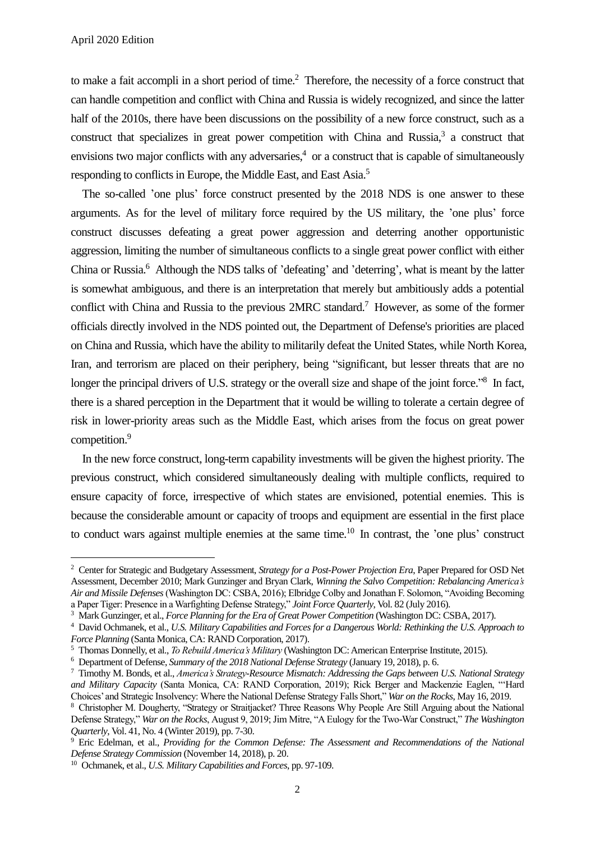$\overline{a}$ 

to make a fait accompli in a short period of time.<sup>2</sup> Therefore, the necessity of a force construct that can handle competition and conflict with China and Russia is widely recognized, and since the latter half of the 2010s, there have been discussions on the possibility of a new force construct, such as a construct that specializes in great power competition with China and Russia, $3$  a construct that envisions two major conflicts with any adversaries,<sup>4</sup> or a construct that is capable of simultaneously responding to conflicts in Europe, the Middle East, and East Asia.<sup>5</sup>

The so-called 'one plus' force construct presented by the 2018 NDS is one answer to these arguments. As for the level of military force required by the US military, the 'one plus' force construct discusses defeating a great power aggression and deterring another opportunistic aggression, limiting the number of simultaneous conflicts to a single great power conflict with either China or Russia.<sup>6</sup> Although the NDS talks of 'defeating' and 'deterring', what is meant by the latter is somewhat ambiguous, and there is an interpretation that merely but ambitiously adds a potential conflict with China and Russia to the previous 2MRC standard. <sup>7</sup> However, as some of the former officials directly involved in the NDS pointed out, the Department of Defense's priorities are placed on China and Russia, which have the ability to militarily defeat the United States, while North Korea, Iran, and terrorism are placed on their periphery, being "significant, but lesser threats that are no longer the principal drivers of U.S. strategy or the overall size and shape of the joint force."<sup>8</sup> In fact, there is a shared perception in the Department that it would be willing to tolerate a certain degree of risk in lower-priority areas such as the Middle East, which arises from the focus on great power competition.<sup>9</sup>

In the new force construct, long-term capability investments will be given the highest priority. The previous construct, which considered simultaneously dealing with multiple conflicts, required to ensure capacity of force, irrespective of which states are envisioned, potential enemies. This is because the considerable amount or capacity of troops and equipment are essential in the first place to conduct wars against multiple enemies at the same time.<sup>10</sup> In contrast, the 'one plus' construct

<sup>2</sup> Center for Strategic and Budgetary Assessment, *Strategy for a Post-Power Projection Era*, Paper Prepared for OSD Net Assessment, December 2010; Mark Gunzinger and Bryan Clark, *Winning the Salvo Competition: Rebalancing America's Air and Missile Defenses*(Washington DC: CSBA, 2016); Elbridge Colby and Jonathan F. Solomon, "Avoiding Becoming a Paper Tiger: Presence in a Warfighting Defense Strategy," *Joint Force Quarterly*, Vol. 82 (July 2016).

<sup>3</sup> Mark Gunzinger, et al., *Force Planning for the Era of Great Power Competition* (Washington DC: CSBA, 2017).

<sup>4</sup> David Ochmanek, et al., *U.S. Military Capabilities and Forces for a Dangerous World: Rethinking the U.S. Approach to Force Planning* (Santa Monica, CA: RAND Corporation, 2017).

<sup>5</sup> Thomas Donnelly, et al., *To Rebuild America's Military* (Washington DC: American Enterprise Institute, 2015).

<sup>6</sup> Department of Defense, *Summary of the 2018 National Defense Strategy* (January 19, 2018), p. 6.

<sup>7</sup> Timothy M. Bonds, et al., *America's Strategy-Resource Mismatch: Addressing the Gaps between U.S. National Strategy and Military Capacity* (Santa Monica, CA: RAND Corporation, 2019); Rick Berger and Mackenzie Eaglen, "'Hard Choices' and Strategic Insolvency: Where the National Defense Strategy Falls Short," *War on the Rocks*, May 16, 2019.

<sup>8</sup> Christopher M. Dougherty, "Strategy or Straitjacket? Three Reasons Why People Are Still Arguing about the National Defense Strategy," *War on the Rocks*, August 9, 2019; Jim Mitre, "A Eulogy for the Two-War Construct," *The Washington Quarterly*, Vol. 41, No. 4 (Winter 2019), pp. 7-30.

<sup>9</sup> Eric Edelman, et al., *Providing for the Common Defense: The Assessment and Recommendations of the National Defense Strategy Commission* (November 14, 2018), p. 20.

<sup>10</sup> Ochmanek, et al., *U.S. Military Capabilities and Forces*, pp. 97-109.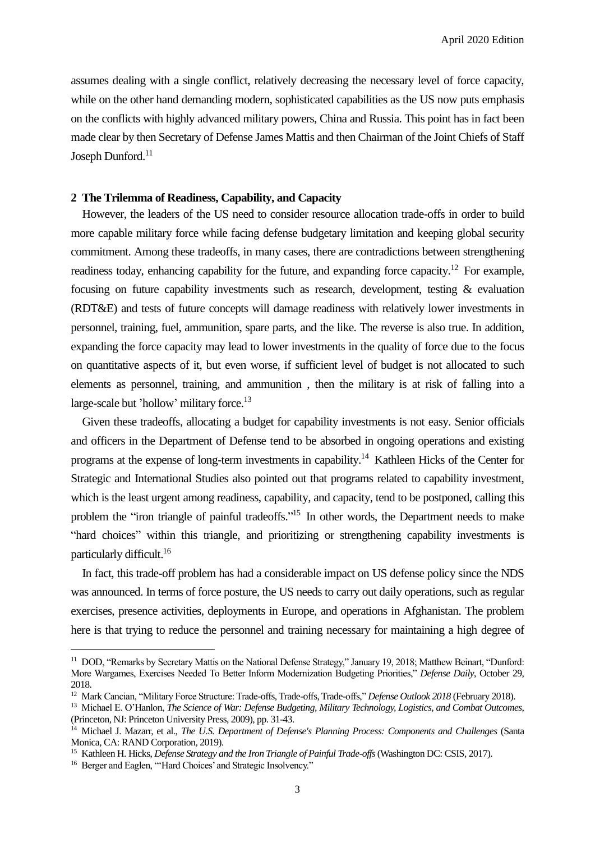April 2020 Edition

assumes dealing with a single conflict, relatively decreasing the necessary level of force capacity, while on the other hand demanding modern, sophisticated capabilities as the US now puts emphasis on the conflicts with highly advanced military powers, China and Russia. This point has in fact been made clear by then Secretary of Defense James Mattis and then Chairman of the Joint Chiefs of Staff Joseph Dunford.<sup>11</sup>

#### **2 The Trilemma of Readiness, Capability, and Capacity**

However, the leaders of the US need to consider resource allocation trade-offs in order to build more capable military force while facing defense budgetary limitation and keeping global security commitment. Among these tradeoffs, in many cases, there are contradictions between strengthening readiness today, enhancing capability for the future, and expanding force capacity.<sup>12</sup> For example, focusing on future capability investments such as research, development, testing & evaluation (RDT&E) and tests of future concepts will damage readiness with relatively lower investments in personnel, training, fuel, ammunition, spare parts, and the like. The reverse is also true. In addition, expanding the force capacity may lead to lower investments in the quality of force due to the focus on quantitative aspects of it, but even worse, if sufficient level of budget is not allocated to such elements as personnel, training, and ammunition , then the military is at risk of falling into a large-scale but 'hollow' military force.<sup>13</sup>

Given these tradeoffs, allocating a budget for capability investments is not easy. Senior officials and officers in the Department of Defense tend to be absorbed in ongoing operations and existing programs at the expense of long-term investments in capability.<sup>14</sup> Kathleen Hicks of the Center for Strategic and International Studies also pointed out that programs related to capability investment, which is the least urgent among readiness, capability, and capacity, tend to be postponed, calling this problem the "iron triangle of painful tradeoffs."<sup>15</sup> In other words, the Department needs to make "hard choices" within this triangle, and prioritizing or strengthening capability investments is particularly difficult. 16

In fact, this trade-off problem has had a considerable impact on US defense policy since the NDS was announced. In terms of force posture, the US needs to carry out daily operations, such as regular exercises, presence activities, deployments in Europe, and operations in Afghanistan. The problem here is that trying to reduce the personnel and training necessary for maintaining a high degree of

<sup>16</sup> Berger and Eaglen, "'Hard Choices' and Strategic Insolvency."

 $\overline{a}$ 

<sup>&</sup>lt;sup>11</sup> DOD, "Remarks by Secretary Mattis on the National Defense Strategy," January 19, 2018; Matthew Beinart, "Dunford: More Wargames, Exercises Needed To Better Inform Modernization Budgeting Priorities," *Defense Daily*, October 29, 2018.

<sup>12</sup> Mark Cancian, "Military Force Structure: Trade-offs, Trade-offs, Trade-offs," *Defense Outlook 2018* (February 2018).

<sup>13</sup> Michael E. O'Hanlon, *The Science of War: Defense Budgeting, Military Technology, Logistics, and Combat Outcomes*, (Princeton, NJ: Princeton University Press, 2009), pp. 31-43.

<sup>&</sup>lt;sup>14</sup> Michael J. Mazarr, et al., *The U.S. Department of Defense's Planning Process: Components and Challenges* (Santa Monica, CA: RAND Corporation, 2019).

<sup>&</sup>lt;sup>15</sup> Kathleen H. Hicks, *Defense Strategy and the Iron Triangle of Painful Trade-offs* (Washington DC: CSIS, 2017).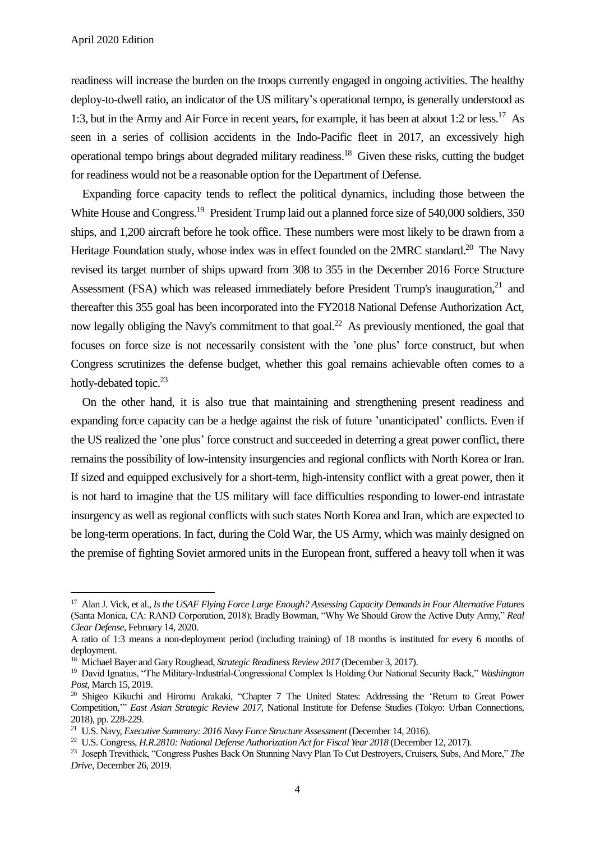$\overline{a}$ 

readiness will increase the burden on the troops currently engaged in ongoing activities. The healthy deploy-to-dwell ratio, an indicator of the US military's operational tempo, is generally understood as 1:3, but in the Army and Air Force in recent years, for example, it has been at about 1:2 or less.<sup>17</sup> As seen in a series of collision accidents in the Indo-Pacific fleet in 2017, an excessively high operational tempo brings about degraded military readiness.<sup>18</sup> Given these risks, cutting the budget for readiness would not be a reasonable option for the Department of Defense.

Expanding force capacity tends to reflect the political dynamics, including those between the White House and Congress.<sup>19</sup> President Trump laid out a planned force size of 540,000 soldiers, 350 ships, and 1,200 aircraft before he took office. These numbers were most likely to be drawn from a Heritage Foundation study, whose index was in effect founded on the 2MRC standard.<sup>20</sup> The Navy revised its target number of ships upward from 308 to 355 in the December 2016 Force Structure Assessment (FSA) which was released immediately before President Trump's inauguration, $21$  and thereafter this 355 goal has been incorporated into the FY2018 National Defense Authorization Act, now legally obliging the Navy's commitment to that goal.<sup>22</sup> As previously mentioned, the goal that focuses on force size is not necessarily consistent with the 'one plus' force construct, but when Congress scrutinizes the defense budget, whether this goal remains achievable often comes to a hotly-debated topic.<sup>23</sup>

On the other hand, it is also true that maintaining and strengthening present readiness and expanding force capacity can be a hedge against the risk of future 'unanticipated' conflicts. Even if the US realized the 'one plus' force construct and succeeded in deterring a great power conflict, there remains the possibility of low-intensity insurgencies and regional conflicts with North Korea or Iran. If sized and equipped exclusively for a short-term, high-intensity conflict with a great power, then it is not hard to imagine that the US military will face difficulties responding to lower-end intrastate insurgency as well as regional conflicts with such states North Korea and Iran, which are expected to be long-term operations. In fact, during the Cold War, the US Army, which was mainly designed on the premise of fighting Soviet armored units in the European front, suffered a heavy toll when it was

<sup>17</sup> Alan J. Vick, et al., *Is the USAF Flying Force Large Enough? Assessing Capacity Demands in Four Alternative Futures* (Santa Monica, CA: RAND Corporation, 2018); Bradly Bowman, "Why We Should Grow the Active Duty Army," *Real Clear Defense*, February 14, 2020.

A ratio of 1:3 means a non-deployment period (including training) of 18 months is instituted for every 6 months of deployment.

<sup>18</sup> Michael Bayer and Gary Roughead, *Strategic Readiness Review 2017* (December 3, 2017).

<sup>19</sup> David Ignatius, "The Military-Industrial-Congressional Complex Is Holding Our National Security Back," *Washington Post*, March 15, 2019.

<sup>&</sup>lt;sup>20</sup> Shigeo Kikuchi and Hiromu Arakaki, "Chapter 7 The United States: Addressing the 'Return to Great Power Competition,'" *East Asian Strategic Review 2017*, National Institute for Defense Studies (Tokyo: Urban Connections, 2018), pp. 228-229.

<sup>21</sup> U.S. Navy, *Executive Summary: 2016 Navy Force Structure Assessment* (December 14, 2016).

<sup>22</sup> U.S. Congress, *H.R.2810: National Defense Authorization Act for Fiscal Year 2018* (December 12, 2017).

<sup>23</sup> Joseph Trevithick, "Congress Pushes Back On Stunning Navy Plan To Cut Destroyers, Cruisers, Subs, And More," *The Drive*, December 26, 2019.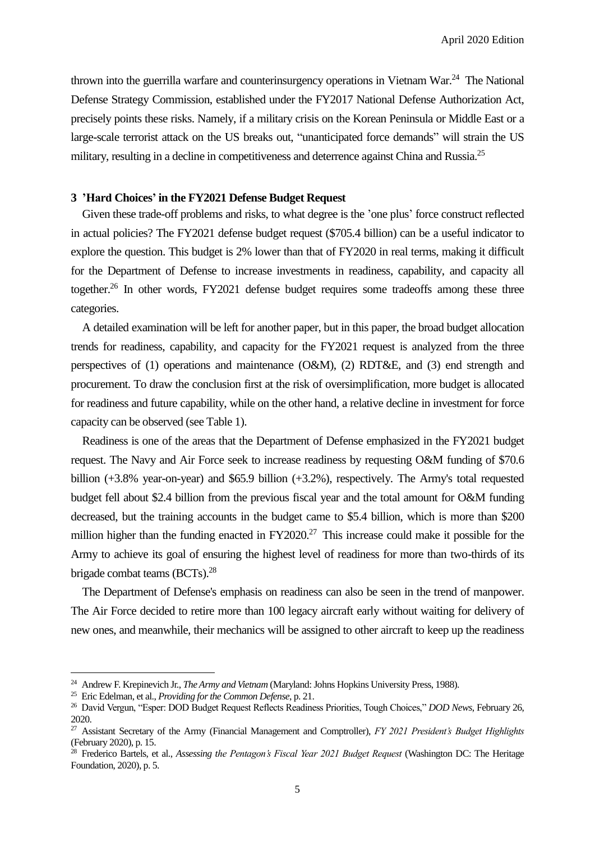thrown into the guerrilla warfare and counterinsurgency operations in Vietnam War.<sup>24</sup> The National Defense Strategy Commission, established under the FY2017 National Defense Authorization Act, precisely points these risks. Namely, if a military crisis on the Korean Peninsula or Middle East or a large-scale terrorist attack on the US breaks out, "unanticipated force demands" will strain the US military, resulting in a decline in competitiveness and deterrence against China and Russia.<sup>25</sup>

#### **3 'Hard Choices' in the FY2021 Defense Budget Request**

Given these trade-off problems and risks, to what degree is the 'one plus' force construct reflected in actual policies? The FY2021 defense budget request (\$705.4 billion) can be a useful indicator to explore the question. This budget is 2% lower than that of FY2020 in real terms, making it difficult for the Department of Defense to increase investments in readiness, capability, and capacity all together. <sup>26</sup> In other words, FY2021 defense budget requires some tradeoffs among these three categories.

A detailed examination will be left for another paper, but in this paper, the broad budget allocation trends for readiness, capability, and capacity for the FY2021 request is analyzed from the three perspectives of (1) operations and maintenance (O&M), (2) RDT&E, and (3) end strength and procurement. To draw the conclusion first at the risk of oversimplification, more budget is allocated for readiness and future capability, while on the other hand, a relative decline in investment for force capacity can be observed (see Table 1).

Readiness is one of the areas that the Department of Defense emphasized in the FY2021 budget request. The Navy and Air Force seek to increase readiness by requesting O&M funding of \$70.6 billion (+3.8% year-on-year) and \$65.9 billion (+3.2%), respectively. The Army's total requested budget fell about \$2.4 billion from the previous fiscal year and the total amount for O&M funding decreased, but the training accounts in the budget came to \$5.4 billion, which is more than \$200 million higher than the funding enacted in  $FY2020<sup>27</sup>$ . This increase could make it possible for the Army to achieve its goal of ensuring the highest level of readiness for more than two-thirds of its brigade combat teams (BCTs).<sup>28</sup>

The Department of Defense's emphasis on readiness can also be seen in the trend of manpower. The Air Force decided to retire more than 100 legacy aircraft early without waiting for delivery of new ones, and meanwhile, their mechanics will be assigned to other aircraft to keep up the readiness

 $\overline{a}$ 

<sup>24</sup> Andrew F. Krepinevich Jr., *The Army and Vietnam* (Maryland: Johns Hopkins University Press, 1988).

<sup>25</sup> Eric Edelman, et al., *Providing for the Common Defense*, p. 21.

<sup>26</sup> David Vergun, "Esper: DOD Budget Request Reflects Readiness Priorities, Tough Choices," *DOD News*, February 26, 2020.

<sup>27</sup> Assistant Secretary of the Army (Financial Management and Comptroller), *FY 2021 President's Budget Highlights* (February 2020), p. 15.

<sup>28</sup> Frederico Bartels, et al., *Assessing the Pentagon's Fiscal Year 2021 Budget Request* (Washington DC: The Heritage Foundation, 2020), p. 5.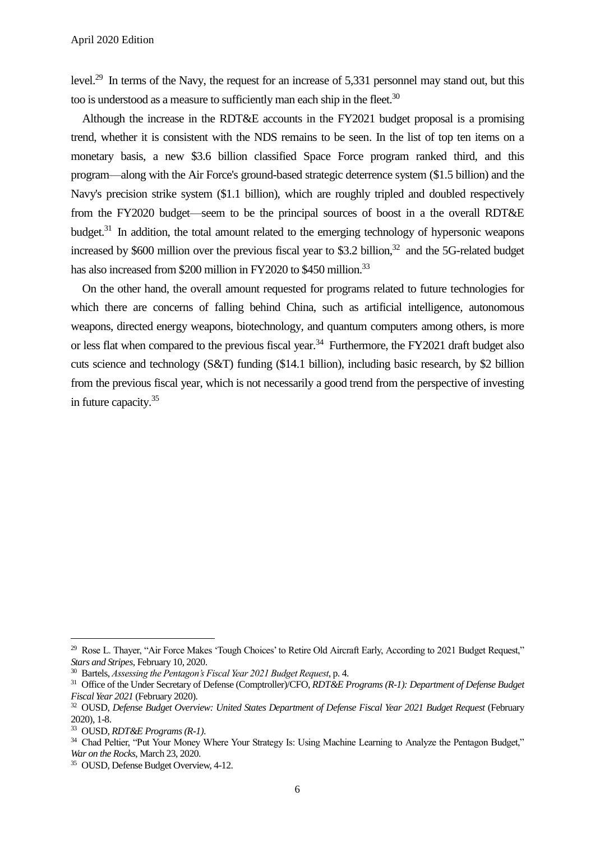level.<sup>29</sup> In terms of the Navy, the request for an increase of 5,331 personnel may stand out, but this too is understood as a measure to sufficiently man each ship in the fleet. $30$ 

Although the increase in the RDT&E accounts in the FY2021 budget proposal is a promising trend, whether it is consistent with the NDS remains to be seen. In the list of top ten items on a monetary basis, a new \$3.6 billion classified Space Force program ranked third, and this program—along with the Air Force's ground-based strategic deterrence system (\$1.5 billion) and the Navy's precision strike system (\$1.1 billion), which are roughly tripled and doubled respectively from the FY2020 budget—seem to be the principal sources of boost in a the overall RDT&E budget.<sup>31</sup> In addition, the total amount related to the emerging technology of hypersonic weapons increased by \$600 million over the previous fiscal year to \$3.2 billion, <sup>32</sup> and the 5G-related budget has also increased from \$200 million in FY2020 to \$450 million.<sup>33</sup>

On the other hand, the overall amount requested for programs related to future technologies for which there are concerns of falling behind China, such as artificial intelligence, autonomous weapons, directed energy weapons, biotechnology, and quantum computers among others, is more or less flat when compared to the previous fiscal year.<sup>34</sup> Furthermore, the FY2021 draft budget also cuts science and technology (S&T) funding (\$14.1 billion), including basic research, by \$2 billion from the previous fiscal year, which is not necessarily a good trend from the perspective of investing in future capacity.<sup>35</sup>

 $\overline{a}$ 

<sup>&</sup>lt;sup>29</sup> Rose L. Thayer, "Air Force Makes 'Tough Choices' to Retire Old Aircraft Early, According to 2021 Budget Request," *Stars and Stripes*, February 10, 2020.

<sup>30</sup> Bartels, *Assessing the Pentagon's Fiscal Year 2021 Budget Request*, p. 4.

<sup>31</sup> Office of the Under Secretary of Defense (Comptroller)/CFO, *RDT&E Programs (R-1): Department of Defense Budget Fiscal Year 2021* (February 2020).

<sup>&</sup>lt;sup>32</sup> OUSD, *Defense Budget Overview: United States Department of Defense Fiscal Year 2021 Budget Request* (February 2020), 1-8.

<sup>33</sup> OUSD, *RDT&E Programs (R-1)*.

<sup>&</sup>lt;sup>34</sup> Chad Peltier, "Put Your Money Where Your Strategy Is: Using Machine Learning to Analyze the Pentagon Budget," *War on the Rocks*, March 23, 2020.

<sup>35</sup> OUSD, Defense Budget Overview, 4-12.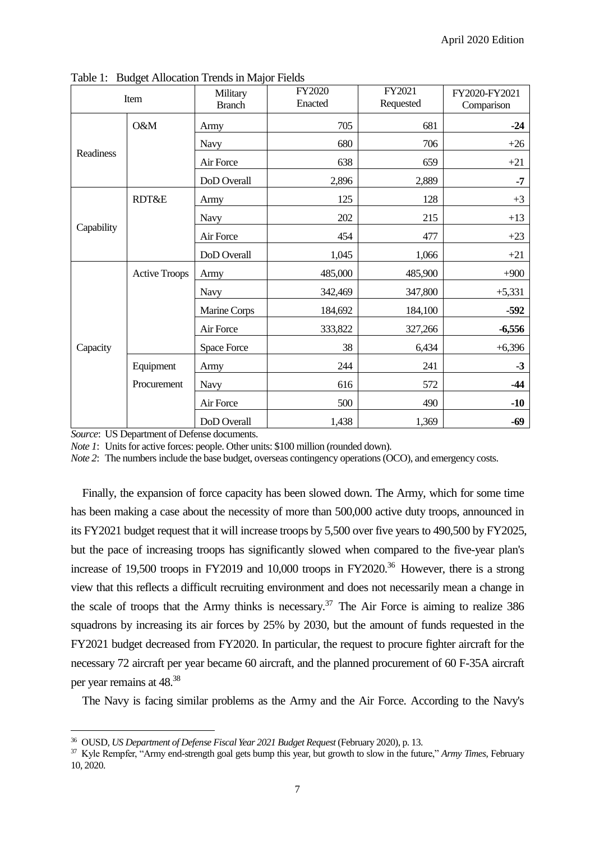| Item       |                      | ◡<br>Military<br><b>Branch</b> | FY2020<br>Enacted | FY2021<br>Requested | FY2020-FY2021<br>Comparison |
|------------|----------------------|--------------------------------|-------------------|---------------------|-----------------------------|
| Readiness  | O&M                  | Army                           | 705               | 681                 | $-24$                       |
|            |                      | <b>Navy</b>                    | 680               | 706                 | $+26$                       |
|            |                      | Air Force                      | 638               | 659                 | $+21$                       |
|            |                      | DoD Overall                    | 2,896             | 2,889               | $-7$                        |
| Capability | <b>RDT&amp;E</b>     | Army                           | 125               | 128                 | $+3$                        |
|            |                      | <b>Navy</b>                    | 202               | 215                 | $+13$                       |
|            |                      | Air Force                      | 454               | 477                 | $+23$                       |
|            |                      | DoD Overall                    | 1,045             | 1,066               | $+21$                       |
| Capacity   | <b>Active Troops</b> | Army                           | 485,000           | 485,900             | $+900$                      |
|            |                      | <b>Navy</b>                    | 342,469           | 347,800             | $+5,331$                    |
|            |                      | Marine Corps                   | 184,692           | 184,100             | $-592$                      |
|            |                      | Air Force                      | 333,822           | 327,266             | $-6,556$                    |
|            |                      | Space Force                    | 38                | 6,434               | $+6,396$                    |
|            | Equipment            | Army                           | 244               | 241                 | $-3$                        |
|            | Procurement          | Navy                           | 616               | 572                 | $-44$                       |
|            |                      | Air Force                      | 500               | 490                 | $-10$                       |
|            |                      | DoD Overall                    | 1,438             | 1,369               | $-69$                       |

Table 1: Budget Allocation Trends in Major Fields

*Source*: US Department of Defense documents.

 $\overline{a}$ 

*Note 1*: Units for active forces: people. Other units: \$100 million (rounded down).

*Note 2*: The numbers include the base budget, overseas contingency operations (OCO), and emergency costs.

Finally, the expansion of force capacity has been slowed down. The Army, which for some time has been making a case about the necessity of more than 500,000 active duty troops, announced in its FY2021 budget request that it will increase troops by 5,500 over five years to 490,500 by FY2025, but the pace of increasing troops has significantly slowed when compared to the five-year plan's increase of 19,500 troops in FY2019 and 10,000 troops in FY2020.<sup>36</sup> However, there is a strong view that this reflects a difficult recruiting environment and does not necessarily mean a change in the scale of troops that the Army thinks is necessary.<sup>37</sup> The Air Force is aiming to realize 386 squadrons by increasing its air forces by 25% by 2030, but the amount of funds requested in the FY2021 budget decreased from FY2020. In particular, the request to procure fighter aircraft for the necessary 72 aircraft per year became 60 aircraft, and the planned procurement of 60 F-35A aircraft per year remains at 48.<sup>38</sup>

The Navy is facing similar problems as the Army and the Air Force. According to the Navy's

<sup>&</sup>lt;sup>36</sup> OUSD, *US Department of Defense Fiscal Year 2021 Budget Request* (February 2020), p. 13.

<sup>37</sup> Kyle Rempfer, "Army end-strength goal gets bump this year, but growth to slow in the future," *Army Times*, February 10, 2020.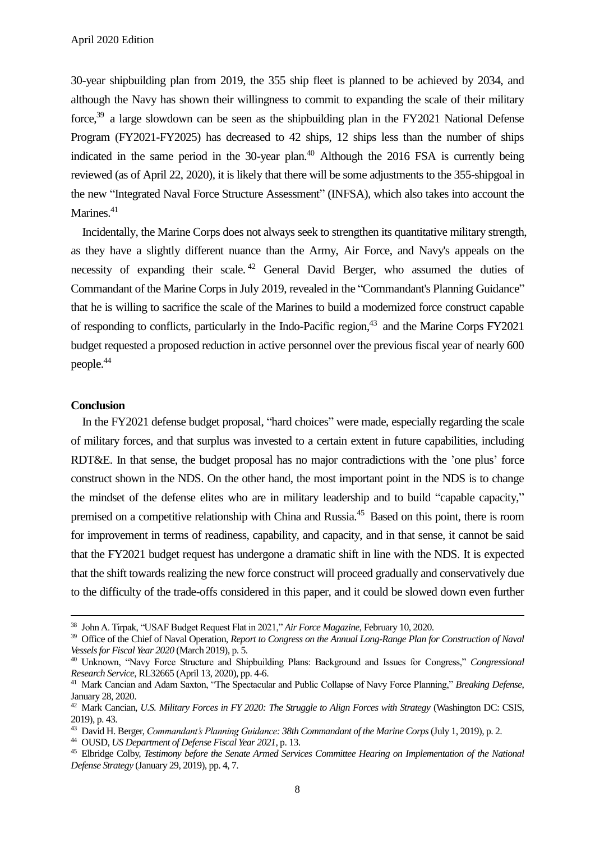30-year shipbuilding plan from 2019, the 355 ship fleet is planned to be achieved by 2034, and although the Navy has shown their willingness to commit to expanding the scale of their military force.<sup>39</sup> a large slowdown can be seen as the shipbuilding plan in the FY2021 National Defense Program (FY2021-FY2025) has decreased to 42 ships, 12 ships less than the number of ships indicated in the same period in the 30-year plan.<sup>40</sup> Although the 2016 FSA is currently being reviewed (as of April 22, 2020), it is likely that there will be some adjustments to the 355-shipgoal in the new "Integrated Naval Force Structure Assessment" (INFSA), which also takes into account the Marines.<sup>41</sup>

Incidentally, the Marine Corps does not always seek to strengthen its quantitative military strength, as they have a slightly different nuance than the Army, Air Force, and Navy's appeals on the necessity of expanding their scale.<sup>42</sup> General David Berger, who assumed the duties of Commandant of the Marine Corps in July 2019, revealed in the "Commandant's Planning Guidance" that he is willing to sacrifice the scale of the Marines to build a modernized force construct capable of responding to conflicts, particularly in the Indo-Pacific region,<sup>43</sup> and the Marine Corps FY2021 budget requested a proposed reduction in active personnel over the previous fiscal year of nearly 600 people.<sup>44</sup>

#### **Conclusion**

 $\overline{a}$ 

In the FY2021 defense budget proposal, "hard choices" were made, especially regarding the scale of military forces, and that surplus was invested to a certain extent in future capabilities, including RDT&E. In that sense, the budget proposal has no major contradictions with the 'one plus' force construct shown in the NDS. On the other hand, the most important point in the NDS is to change the mindset of the defense elites who are in military leadership and to build "capable capacity," premised on a competitive relationship with China and Russia.<sup>45</sup> Based on this point, there is room for improvement in terms of readiness, capability, and capacity, and in that sense, it cannot be said that the FY2021 budget request has undergone a dramatic shift in line with the NDS. It is expected that the shift towards realizing the new force construct will proceed gradually and conservatively due to the difficulty of the trade-offs considered in this paper, and it could be slowed down even further

<sup>38</sup> John A. Tirpak, "USAF Budget Request Flat in 2021," *Air Force Magazine*, February 10, 2020.

<sup>&</sup>lt;sup>39</sup> Office of the Chief of Naval Operation, *Report to Congress on the Annual Long-Range Plan for Construction of Naval Vessels for Fiscal Year 2020* (March 2019), p. 5.

<sup>40</sup> Unknown, "Navy Force Structure and Shipbuilding Plans: Background and Issues for Congress," *Congressional Research Service*, RL32665 (April 13, 2020), pp. 4-6.

<sup>41</sup> Mark Cancian and Adam Saxton, "The Spectacular and Public Collapse of Navy Force Planning," *Breaking Defense*, January 28, 2020.

<sup>42</sup> Mark Cancian, *U.S. Military Forces in FY 2020: The Struggle to Align Forces with Strategy* (Washington DC: CSIS, 2019), p. 43.

<sup>43</sup> David H. Berger, *Commandant's Planning Guidance: 38th Commandant of the Marine Corps*(July 1, 2019), p. 2.

<sup>44</sup> OUSD, *US Department of Defense Fiscal Year 2021*, p. 13.

<sup>45</sup> Elbridge Colby, *Testimony before the Senate Armed Services Committee Hearing on Implementation of the National Defense Strategy* (January 29, 2019), pp. 4, 7.